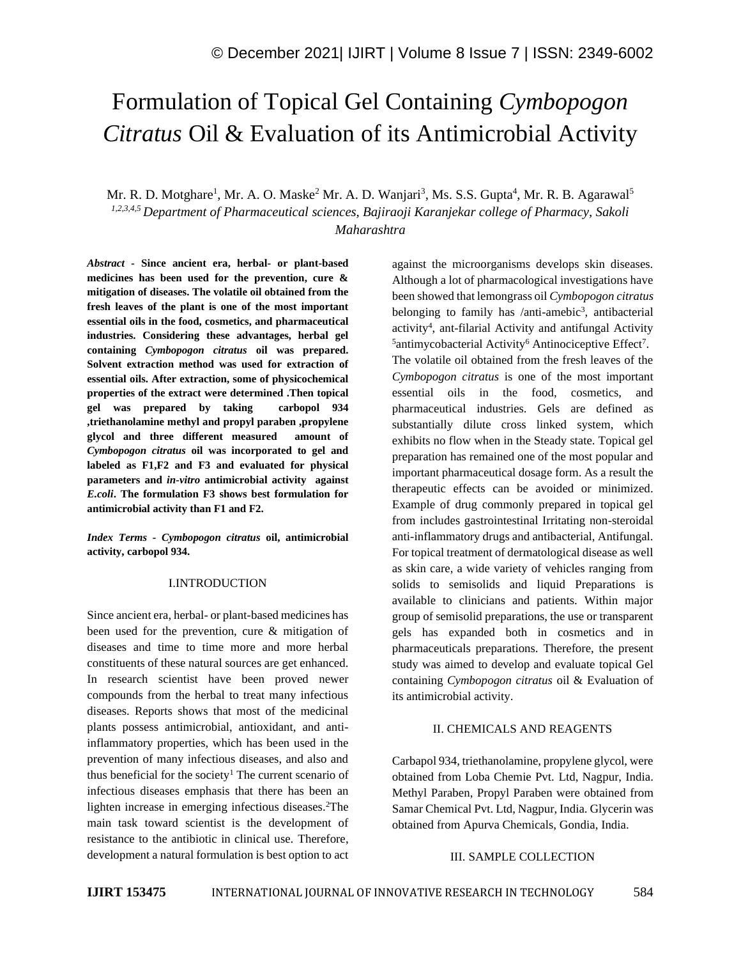# Formulation of Topical Gel Containing *Cymbopogon Citratus* Oil & Evaluation of its Antimicrobial Activity

Mr. R. D. Motghare<sup>1</sup>, Mr. A. O. Maske<sup>2</sup> Mr. A. D. Wanjari<sup>3</sup>, Ms. S.S. Gupta<sup>4</sup>, Mr. R. B. Agarawal<sup>5</sup> *1,2,3,4,5 Department of Pharmaceutical sciences, Bajiraoji Karanjekar college of Pharmacy, Sakoli Maharashtra*

*Abstract -* **Since ancient era, herbal- or plant-based medicines has been used for the prevention, cure & mitigation of diseases. The volatile oil obtained from the fresh leaves of the plant is one of the most important essential oils in the food, cosmetics, and pharmaceutical industries. Considering these advantages, herbal gel containing** *Cymbopogon citratus* **oil was prepared. Solvent extraction method was used for extraction of essential oils. After extraction, some of physicochemical properties of the extract were determined .Then topical gel was prepared by taking carbopol 934 ,triethanolamine methyl and propyl paraben ,propylene glycol and three different measured amount of**  *Cymbopogon citratus* **oil was incorporated to gel and labeled as F1,F2 and F3 and evaluated for physical parameters and** *in-vitro* **antimicrobial activity against**  *E.coli***. The formulation F3 shows best formulation for antimicrobial activity than F1 and F2.**

*Index Terms - Cymbopogon citratus* **oil, antimicrobial activity, carbopol 934.**

#### I.INTRODUCTION

Since ancient era, herbal- or plant-based medicines has been used for the prevention, cure & mitigation of diseases and time to time more and more herbal constituents of these natural sources are get enhanced. In research scientist have been proved newer compounds from the herbal to treat many infectious diseases. Reports shows that most of the medicinal plants possess antimicrobial, antioxidant, and antiinflammatory properties, which has been used in the prevention of many infectious diseases, and also and thus beneficial for the society<sup>1</sup> The current scenario of infectious diseases emphasis that there has been an lighten increase in emerging infectious diseases.<sup>2</sup>The main task toward scientist is the development of resistance to the antibiotic in clinical use. Therefore, development a natural formulation is best option to act

against the microorganisms develops skin diseases. Although a lot of pharmacological investigations have been showed that lemongrass oil *Cymbopogon citratus* belonging to family has /anti-amebic<sup>3</sup>, antibacterial activity<sup>4</sup>, ant-filarial Activity and antifungal Activity <sup>5</sup>antimycobacterial Activity<sup>6</sup> Antinociceptive Effect<sup>7</sup>. The volatile oil obtained from the fresh leaves of the *Cymbopogon citratus* is one of the most important essential oils in the food, cosmetics, and pharmaceutical industries. Gels are defined as substantially dilute cross linked system, which exhibits no flow when in the Steady state. Topical gel preparation has remained one of the most popular and important pharmaceutical dosage form. As a result the therapeutic effects can be avoided or minimized. Example of drug commonly prepared in topical gel from includes gastrointestinal Irritating non-steroidal anti-inflammatory drugs and antibacterial, Antifungal. For topical treatment of dermatological disease as well as skin care, a wide variety of vehicles ranging from solids to semisolids and liquid Preparations is available to clinicians and patients. Within major group of semisolid preparations, the use or transparent gels has expanded both in cosmetics and in pharmaceuticals preparations. Therefore, the present study was aimed to develop and evaluate topical Gel containing *Cymbopogon citratus* oil & Evaluation of its antimicrobial activity.

# II. CHEMICALS AND REAGENTS

Carbapol 934, triethanolamine, propylene glycol, were obtained from Loba Chemie Pvt. Ltd, Nagpur, India. Methyl Paraben, Propyl Paraben were obtained from Samar Chemical Pvt. Ltd, Nagpur, India. Glycerin was obtained from Apurva Chemicals, Gondia, India.

#### III. SAMPLE COLLECTION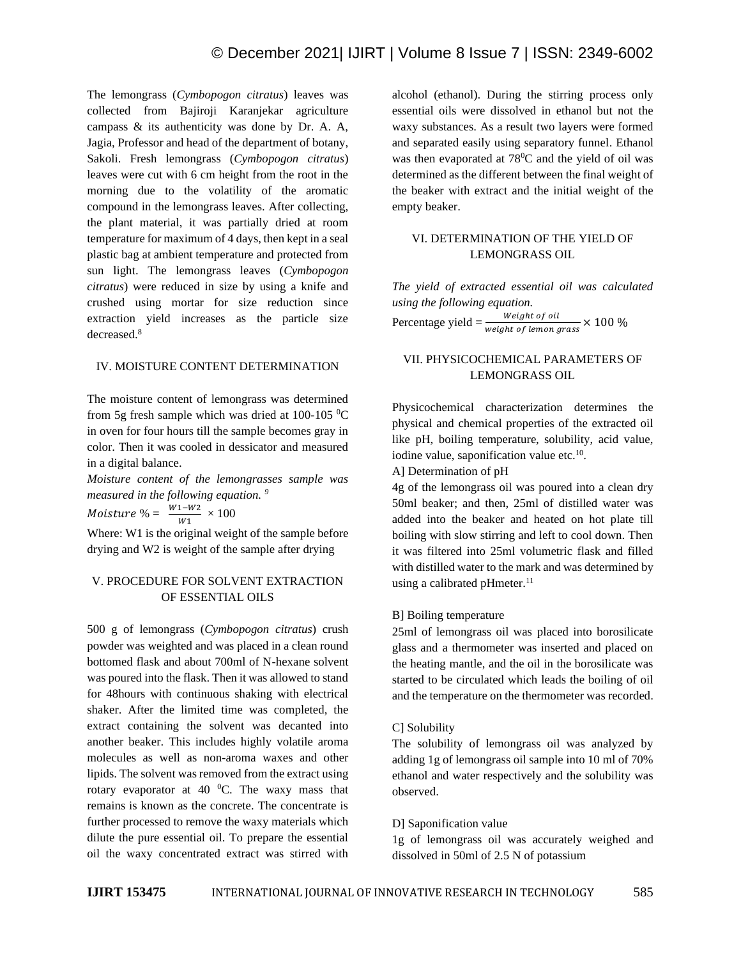The lemongrass (*Cymbopogon citratus*) leaves was collected from Bajiroji Karanjekar agriculture campass & its authenticity was done by Dr. A. A, Jagia, Professor and head of the department of botany, Sakoli. Fresh lemongrass (*Cymbopogon citratus*) leaves were cut with 6 cm height from the root in the morning due to the volatility of the aromatic compound in the lemongrass leaves. After collecting, the plant material, it was partially dried at room temperature for maximum of 4 days, then kept in a seal plastic bag at ambient temperature and protected from sun light. The lemongrass leaves (*Cymbopogon citratus*) were reduced in size by using a knife and crushed using mortar for size reduction since extraction yield increases as the particle size decreased.<sup>8</sup>

## IV. MOISTURE CONTENT DETERMINATION

The moisture content of lemongrass was determined from 5g fresh sample which was dried at 100-105  $^{\circ}$ C in oven for four hours till the sample becomes gray in color. Then it was cooled in dessicator and measured in a digital balance.

*Moisture content of the lemongrasses sample was measured in the following equation. <sup>9</sup>*

Moisture % =  $\frac{W1-W2}{W1} \times 100$ 

Where: W1 is the original weight of the sample before drying and W2 is weight of the sample after drying

# V. PROCEDURE FOR SOLVENT EXTRACTION OF ESSENTIAL OILS

500 g of lemongrass (*Cymbopogon citratus*) crush powder was weighted and was placed in a clean round bottomed flask and about 700ml of N-hexane solvent was poured into the flask. Then it was allowed to stand for 48hours with continuous shaking with electrical shaker. After the limited time was completed, the extract containing the solvent was decanted into another beaker. This includes highly volatile aroma molecules as well as non-aroma waxes and other lipids. The solvent was removed from the extract using rotary evaporator at 40  $^{\circ}$ C. The waxy mass that remains is known as the concrete. The concentrate is further processed to remove the waxy materials which dilute the pure essential oil. To prepare the essential oil the waxy concentrated extract was stirred with alcohol (ethanol). During the stirring process only essential oils were dissolved in ethanol but not the waxy substances. As a result two layers were formed and separated easily using separatory funnel. Ethanol was then evaporated at  $78^{\circ}$ C and the yield of oil was determined as the different between the final weight of the beaker with extract and the initial weight of the empty beaker.

# VI. DETERMINATION OF THE YIELD OF LEMONGRASS OIL

*The yield of extracted essential oil was calculated using the following equation.* Percentage yield  $=\frac{Weight \ of \ oil}{weight \ of \ lemon \ grass} \times 100 \%$ 

# VII. PHYSICOCHEMICAL PARAMETERS OF LEMONGRASS OIL

Physicochemical characterization determines the physical and chemical properties of the extracted oil like pH, boiling temperature, solubility, acid value, iodine value, saponification value etc.<sup>10</sup>.

A] Determination of pH

4g of the lemongrass oil was poured into a clean dry 50ml beaker; and then, 25ml of distilled water was added into the beaker and heated on hot plate till boiling with slow stirring and left to cool down. Then it was filtered into 25ml volumetric flask and filled with distilled water to the mark and was determined by using a calibrated pHmeter.<sup>11</sup>

# B] Boiling temperature

25ml of lemongrass oil was placed into borosilicate glass and a thermometer was inserted and placed on the heating mantle, and the oil in the borosilicate was started to be circulated which leads the boiling of oil and the temperature on the thermometer was recorded.

# C] Solubility

The solubility of lemongrass oil was analyzed by adding 1g of lemongrass oil sample into 10 ml of 70% ethanol and water respectively and the solubility was observed.

# D] Saponification value

1g of lemongrass oil was accurately weighed and dissolved in 50ml of 2.5 N of potassium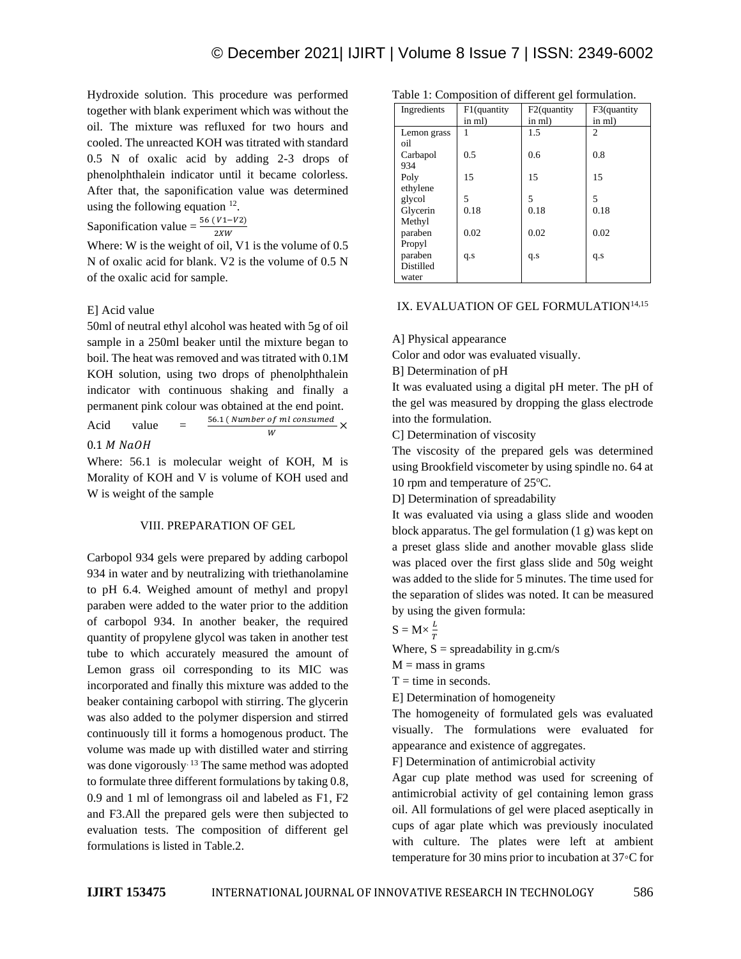Hydroxide solution. This procedure was performed together with blank experiment which was without the oil. The mixture was refluxed for two hours and cooled. The unreacted KOH was titrated with standard 0.5 N of oxalic acid by adding 2-3 drops of phenolphthalein indicator until it became colorless. After that, the saponification value was determined using the following equation  $12$ .

Saponification value =  $\frac{56 (V1 - V2)}{2XW}$ 

Where: W is the weight of oil, V1 is the volume of 0.5 N of oxalic acid for blank. V2 is the volume of 0.5 N of the oxalic acid for sample.

#### E] Acid value

50ml of neutral ethyl alcohol was heated with 5g of oil sample in a 250ml beaker until the mixture began to boil. The heat was removed and was titrated with 0.1M KOH solution, using two drops of phenolphthalein indicator with continuous shaking and finally a permanent pink colour was obtained at the end point. Acid value  $=$   $\frac{56.1 \,( \textit{Number of ml consumed}}{W} \times$ W

# $0.1$  M NaOH

Where: 56.1 is molecular weight of KOH, M is Morality of KOH and V is volume of KOH used and W is weight of the sample

#### VIII. PREPARATION OF GEL

Carbopol 934 gels were prepared by adding carbopol 934 in water and by neutralizing with triethanolamine to pH 6.4. Weighed amount of methyl and propyl paraben were added to the water prior to the addition of carbopol 934. In another beaker, the required quantity of propylene glycol was taken in another test tube to which accurately measured the amount of Lemon grass oil corresponding to its MIC was incorporated and finally this mixture was added to the beaker containing carbopol with stirring. The glycerin was also added to the polymer dispersion and stirred continuously till it forms a homogenous product. The volume was made up with distilled water and stirring was done vigorously.<sup>13</sup> The same method was adopted to formulate three different formulations by taking 0.8, 0.9 and 1 ml of lemongrass oil and labeled as F1, F2 and F3.All the prepared gels were then subjected to evaluation tests. The composition of different gel formulations is listed in Table.2.

|  |  |  | Table 1: Composition of different gel formulation. |
|--|--|--|----------------------------------------------------|
|--|--|--|----------------------------------------------------|

| Ingredients      | F1(quantity<br>in ml) | F <sub>2</sub> (quantity<br>in ml) | F3(quantity<br>in ml) |
|------------------|-----------------------|------------------------------------|-----------------------|
| Lemon grass      |                       | 1.5                                | $\overline{c}$        |
| oil              |                       |                                    |                       |
| Carbapol         | 0.5                   | 0.6                                | 0.8                   |
| 934              |                       |                                    |                       |
| Poly             | 15                    | 15                                 | 15                    |
| ethylene         |                       |                                    |                       |
| glycol           | 5                     | 5                                  | 5                     |
| Glycerin         | 0.18                  | 0.18                               | 0.18                  |
| Methyl           |                       |                                    |                       |
| paraben          | 0.02                  | 0.02                               | 0.02                  |
| Propyl           |                       |                                    |                       |
| paraben          | q.s                   | q.s                                | q.s                   |
| <b>Distilled</b> |                       |                                    |                       |
| water            |                       |                                    |                       |

# IX. EVALUATION OF GEL FORMULATION<sup>14,15</sup>

A] Physical appearance

Color and odor was evaluated visually.

B] Determination of pH

It was evaluated using a digital pH meter. The pH of the gel was measured by dropping the glass electrode into the formulation.

C] Determination of viscosity

The viscosity of the prepared gels was determined using Brookfield viscometer by using spindle no. 64 at 10 rpm and temperature of  $25^{\circ}$ C.

D] Determination of spreadability

It was evaluated via using a glass slide and wooden block apparatus. The gel formulation (1 g) was kept on a preset glass slide and another movable glass slide was placed over the first glass slide and 50g weight was added to the slide for 5 minutes. The time used for the separation of slides was noted. It can be measured by using the given formula:

$$
S = M \times \frac{L}{T}
$$

Where,  $S =$  spreadability in g.cm/s

 $M =$  mass in grams

 $T =$  time in seconds.

E] Determination of homogeneity

The homogeneity of formulated gels was evaluated visually. The formulations were evaluated for appearance and existence of aggregates.

F] Determination of antimicrobial activity

Agar cup plate method was used for screening of antimicrobial activity of gel containing lemon grass oil. All formulations of gel were placed aseptically in cups of agar plate which was previously inoculated with culture. The plates were left at ambient temperature for 30 mins prior to incubation at 37◦C for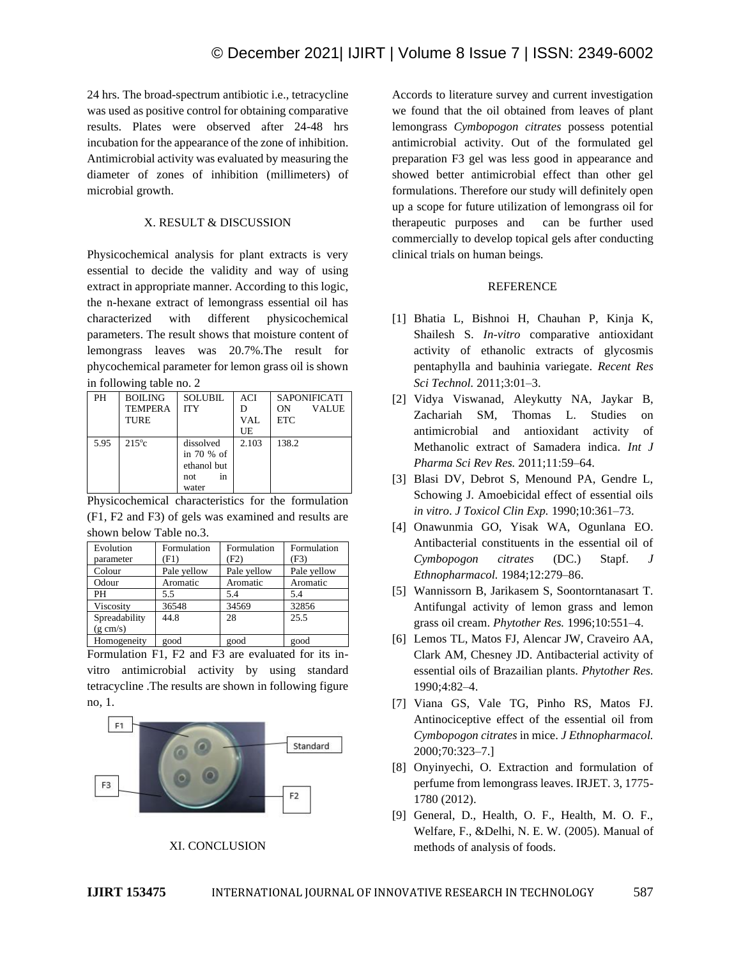24 hrs. The broad-spectrum antibiotic i.e., tetracycline was used as positive control for obtaining comparative results. Plates were observed after 24-48 hrs incubation for the appearance of the zone of inhibition. Antimicrobial activity was evaluated by measuring the diameter of zones of inhibition (millimeters) of microbial growth.

# X. RESULT & DISCUSSION

Physicochemical analysis for plant extracts is very essential to decide the validity and way of using extract in appropriate manner. According to this logic, the n-hexane extract of lemongrass essential oil has characterized with different physicochemical parameters. The result shows that moisture content of lemongrass leaves was 20.7%.The result for phycochemical parameter for lemon grass oil is shown in following table no. 2

| PH   | <b>BOILING</b> | <b>SOLUBIL</b> | <b>ACI</b> | <b>SAPONIFICATI</b> |
|------|----------------|----------------|------------|---------------------|
|      | <b>TEMPERA</b> | <b>ITY</b>     |            | ON<br><b>VALUE</b>  |
|      | <b>TURE</b>    |                | VAL        | <b>ETC</b>          |
|      |                |                | UE         |                     |
| 5.95 | $215^{\circ}c$ | dissolved      | 2.103      | 138.2               |
|      |                | in 70 % of     |            |                     |
|      |                | ethanol but    |            |                     |
|      |                | not<br>in      |            |                     |
|      |                | water          |            |                     |

Physicochemical characteristics for the formulation (F1, F2 and F3) of gels was examined and results are shown below Table no.3.

| Evolution<br>parameter | Formulation<br>(F1) | Formulation<br>(F2) | Formulation<br>(F3` |
|------------------------|---------------------|---------------------|---------------------|
| Colour                 | Pale yellow         | Pale yellow         | Pale yellow         |
| Odour                  | Aromatic            | Aromatic            | Aromatic            |
| PH                     | 5.5                 | 5.4                 | 5.4                 |
| Viscosity              | 36548               | 34569               | 32856               |
| Spreadability          | 44.8                | 28                  | 25.5                |
| $(g \text{ cm/s})$     |                     |                     |                     |
| Homogeneity            | good                | good                | good                |

Formulation F1, F2 and F3 are evaluated for its invitro antimicrobial activity by using standard tetracycline .The results are shown in following figure no, 1.





Accords to literature survey and current investigation we found that the oil obtained from leaves of plant lemongrass *Cymbopogon citrates* possess potential antimicrobial activity. Out of the formulated gel preparation F3 gel was less good in appearance and showed better antimicrobial effect than other gel formulations. Therefore our study will definitely open up a scope for future utilization of lemongrass oil for therapeutic purposes and can be further used commercially to develop topical gels after conducting clinical trials on human beings.

## **REFERENCE**

- [1] Bhatia L, Bishnoi H, Chauhan P, Kinja K, Shailesh S. *In-vitro* comparative antioxidant activity of ethanolic extracts of glycosmis pentaphylla and bauhinia variegate. *Recent Res Sci Technol.* 2011;3:01–3.
- [2] Vidya Viswanad, Aleykutty NA, Jaykar B, Zachariah SM, Thomas L. Studies on antimicrobial and antioxidant activity of Methanolic extract of Samadera indica. *Int J Pharma Sci Rev Res.* 2011;11:59–64.
- [3] Blasi DV, Debrot S, Menound PA, Gendre L, Schowing J. Amoebicidal effect of essential oils *in vitro*. *J Toxicol Clin Exp.* 1990;10:361–73.
- [4] Onawunmia GO, Yisak WA, Ogunlana EO. Antibacterial constituents in the essential oil of *Cymbopogon citrates* (DC.) Stapf. *J Ethnopharmacol.* 1984;12:279–86.
- [5] Wannissorn B, Jarikasem S, Soontorntanasart T. Antifungal activity of lemon grass and lemon grass oil cream. *Phytother Res.* 1996;10:551–4.
- [6] Lemos TL, Matos FJ, Alencar JW, Craveiro AA, Clark AM, Chesney JD. Antibacterial activity of essential oils of Brazailian plants. *Phytother Res.*  1990;4:82–4.
- [7] Viana GS, Vale TG, Pinho RS, Matos FJ. Antinociceptive effect of the essential oil from *Cymbopogon citrates* in mice. *J Ethnopharmacol.*  2000;70:323–7.]
- [8] Onyinyechi, O. Extraction and formulation of perfume from lemongrass leaves. IRJET. 3, 1775- 1780 (2012).
- [9] General, D., Health, O. F., Health, M. O. F., Welfare, F., &Delhi, N. E. W. (2005). Manual of methods of analysis of foods.